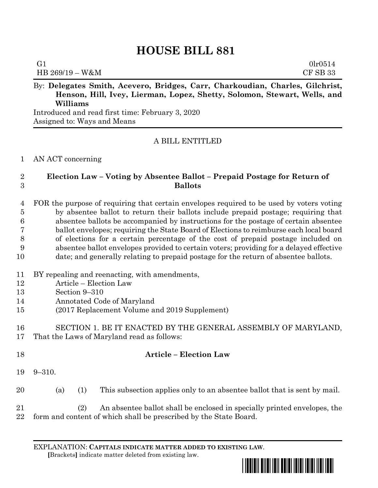# **HOUSE BILL 881**

| G1              | 0lr0514  |
|-----------------|----------|
| HB 269/19 - W&M | CF SB 33 |

By: **Delegates Smith, Acevero, Bridges, Carr, Charkoudian, Charles, Gilchrist, Henson, Hill, Ivey, Lierman, Lopez, Shetty, Solomon, Stewart, Wells, and Williams**

Introduced and read first time: February 3, 2020 Assigned to: Ways and Means

# A BILL ENTITLED

### AN ACT concerning

## **Election Law – Voting by Absentee Ballot – Prepaid Postage for Return of Ballots**

 FOR the purpose of requiring that certain envelopes required to be used by voters voting by absentee ballot to return their ballots include prepaid postage; requiring that absentee ballots be accompanied by instructions for the postage of certain absentee ballot envelopes; requiring the State Board of Elections to reimburse each local board of elections for a certain percentage of the cost of prepaid postage included on absentee ballot envelopes provided to certain voters; providing for a delayed effective date; and generally relating to prepaid postage for the return of absentee ballots.

### BY repealing and reenacting, with amendments,

- Article Election Law
- Section 9–310
- Annotated Code of Maryland
- (2017 Replacement Volume and 2019 Supplement)
- SECTION 1. BE IT ENACTED BY THE GENERAL ASSEMBLY OF MARYLAND, That the Laws of Maryland read as follows:

| -18 |                     | <b>Article – Election Law</b> |  |
|-----|---------------------|-------------------------------|--|
|     | $19 \quad 9 - 310.$ |                               |  |

(a) (1) This subsection applies only to an absentee ballot that is sent by mail.

 (2) An absentee ballot shall be enclosed in specially printed envelopes, the form and content of which shall be prescribed by the State Board.

EXPLANATION: **CAPITALS INDICATE MATTER ADDED TO EXISTING LAW**.  **[**Brackets**]** indicate matter deleted from existing law.